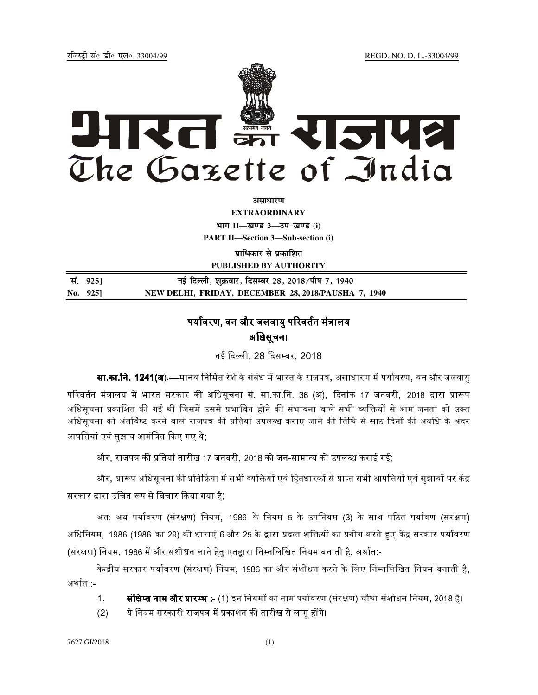jftLVªh laö Mhö ,yö&33004@99 REGD. NO. D. L.-33004/99



**vlk/kj.k**

**EXTRAORDINARY**  $4$ **HTT**  $II$ —*l***avs** 3—34-*b*avs (i) **PART II—Section 3—Sub-section (i)** 

**प्राधिकार से प्रकाशित PUBLISHED BY AUTHORITY**

| सं. 925]    | नई दिल्ली, शुक्रवार, दिसम्बर 28, 2018/पौष 7, 1940   |
|-------------|-----------------------------------------------------|
| No. $925$ ] | NEW DELHI, FRIDAY, DECEMBER 28, 2018/PAUSHA 7, 1940 |

## पर्यावरण. वन और जलवाय परिवर्तन मंत्रालय अधिसूचना

नई दिल्ली, 28 दिसम्बर, 2018 |

**सा.का.नि. 1241(अ**).—मानव निर्मित रेशे के संबंध में भारत के राजपत्र, असाधारण में पर्यावरण, वन और जलवायु परिवर्तन मंत्रालय में भारत सरकार की अधिसूचना सं. सा.का.नि. 36 (अ), दिनांक 17 जनवरी, 2018 द्वारा प्रारूप अधिसचना प्रकाशित की गई थी जिसमें उससे प्रभावित होने की संभावना वाले सभी व्यक्तियों से आम जनता को उक्त अधिसूचना को अंतर्विष्ट करने वाले राजपत्र की प्रतियां उपलब्ध कराए जाने की तिथि से साठ दिनों की अवधि के अंदर आपत्तियां एवं सुझाव आमंत्रित किए गए थे;

और, राजपत्र की प्रतियां तारीख 17 जनवरी, 2018 को जन-सामान्य को उपलब्ध कराई गई;

और, प्रारूप अधिसूचना की प्रतिक्रिया में सभी व्यक्तियों एवं हितधारकों से प्राप्त सभी आपत्तियों एवं सुझावों पर केंद्र सरकार द्वारा उचित रूप से विचार किया गया है;

अत: अब पर्यावरण (संरक्षण) नियम, 1986 के नियम 5 के उपनियम (3) के साथ पठित पर्यावण (संरक्षण) अधिनियम, 1986 (1986 का 29) की धाराएं 6 और 25 के द्वारा प्रदत्त शक्तियों का प्रयोग करते हुए केंद्र सरकार पर्यावरण (संरक्षण) नियम, 1986 में और संशोधन लाने हेत एतद्दारा निम्नलिखित नियम बनाती है, अर्थात:-

केन्द्रीय सरकार पर्यावरण (संरक्षण) नियम, 1986 का और संशोधन करने के लिए निम्नलिखित नियम बनाती है. अर्थात -

- 1. **संक्षिप्त नाम और प्रारम्भ :-** (1) इन नियमों का नाम पर्यावरण (संरक्षण) चौथा संशोधन नियम. 2018 है।
- (2) ये नियम सरकारी राजपत्र में प्रकाशन की तारीख से लागू होंगे।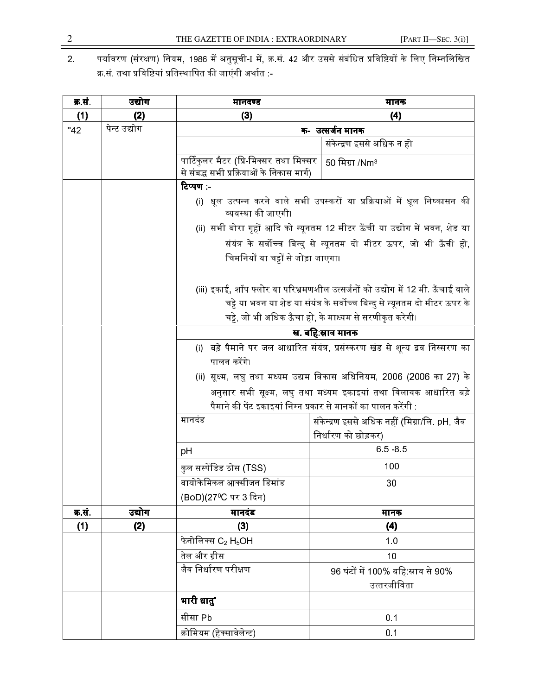2. पर्यावरण (संरक्षण) नियम, 1986 में अनुसूची-ा में, क्र.सं. 42 और उससे संबंधित प्रविष्टियों के लिए निम्नलिखित क्र.सं. तथा प्रविष्टियां प्रतिस्थापित की जाएंगी अर्थात :-

| क्र.सं. | उद्योग       | मानदण्ड                                                        | मानक                                                                            |
|---------|--------------|----------------------------------------------------------------|---------------------------------------------------------------------------------|
| (1)     | (2)          | (3)                                                            | (4)                                                                             |
| $-42$   | पेन्ट उद्योग | क- उत्सर्जन मानक                                               |                                                                                 |
|         |              |                                                                | संकेन्द्रण इससे अधिक न हो                                                       |
|         |              | पार्टिकुलर मैटर (प्रि-मिक्सर तथा मिक्सर                        | 50 मिग्रा /Nm <sup>3</sup>                                                      |
|         |              | से संबद्ध सभी प्रक्रियाओं के निकास मार्ग)                      |                                                                                 |
|         |              | टिप्पण :-                                                      |                                                                                 |
|         |              | व्यवस्था की जाएगी।                                             | (i) धूल उत्पन्न करने वाले सभी उपस्करों या प्रक्रियाओं में धूल निष्कासन की       |
|         |              |                                                                | (ii) सभी बोरा गृहों आदि को न्यूनतम 12 मीटर ऊँची या उद्योग में भवन, शेड या       |
|         |              |                                                                | संयंत्र के सर्वोच्च बिन्दु से न्यूनतम दो मीटर ऊपर, जो भी ऊँची हो,               |
|         |              | चिमनियों या चट्टों से जोड़ा जाएगा।                             |                                                                                 |
|         |              |                                                                |                                                                                 |
|         |              |                                                                | (iii) इकाई, शॉप फ्लोर या परिभ्रमणशील उत्सर्जनों को उद्योग में 12 मी. ऊँचाई वाले |
|         |              |                                                                | चट्टे या भवन या शेड या संयंत्र के सर्वोच्च बिन्दु से न्यूनतम दो मीटर ऊपर के     |
|         |              |                                                                | चट्टे, जो भी अधिक ऊँचा हो, के माध्यम से सरणीकृत करेगी।                          |
|         |              |                                                                | ख. बहि:स्राव मानक                                                               |
|         |              |                                                                | (i) बड़े पैमाने पर जल आधारित संयंत्र, प्रसंस्करण खंड से शून्य द्रव निस्सरण का   |
|         |              | पालन करेंगे।                                                   |                                                                                 |
|         |              |                                                                | (ii) सूक्ष्म, लघु तथा मध्यम उद्यम विकास अधिनियम, 2006 (2006 का 27) के           |
|         |              |                                                                | अनुसार सभी सूक्ष्म, लघु तथा मध्यम इकाइयां तथा विलायक आधारित बड़े                |
|         |              | पैमाने की पेंट इकाइयां निम्न प्रकार से मानकों का पालन करेंगी : |                                                                                 |
|         |              | मानदड                                                          | संकेन्द्रण इससे अधिक नहीं (मिग्रा/लि. pH, जैव                                   |
|         |              |                                                                | निर्धारण को छोड़कर)                                                             |
|         |              | рH                                                             | 65 85                                                                           |
|         |              | कुल सस्पेंडिड ठोस (TSS)                                        | 100                                                                             |
|         |              | बायोकेमिकल आक्सीजन डिमांड                                      | 30                                                                              |
|         |              | (BoD)(27ºC पर 3 दिन)                                           |                                                                                 |
| क्र.सं. | उद्योग       | मानदंड                                                         | मानक                                                                            |
| (1)     | (2)          | (3)                                                            | (4)                                                                             |
|         |              | फेनोलिक्स $C_2$ H <sub>5</sub> OH                              | 1.0                                                                             |
|         |              | तेल और ग्रीस                                                   | 10                                                                              |
|         |              | जैव निर्धारण परीक्षण                                           | 96 घंटों में 100% बहि:स्राव से 90%                                              |
|         |              |                                                                | उत्तरजीविता                                                                     |
|         |              | भारी धातु*                                                     |                                                                                 |
|         |              | सीसा Pb                                                        | 0.1                                                                             |
|         |              | क्रोमियम (हेक्सावेलेन्ट)                                       | 0.1                                                                             |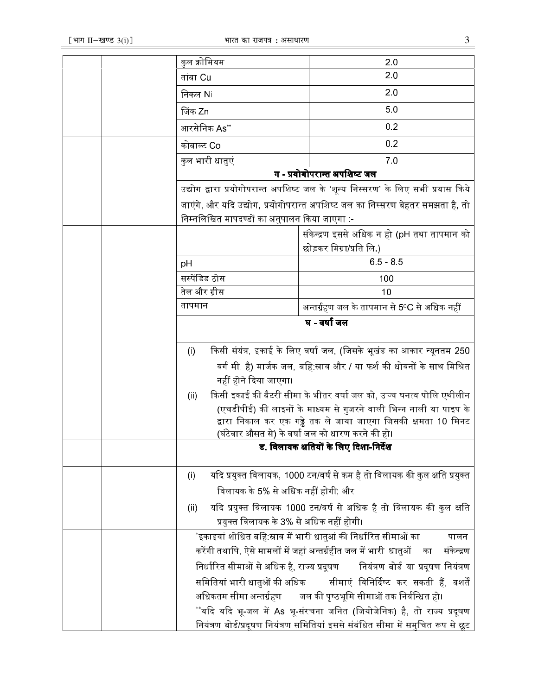|                                                                                  |                        | कुल क्रोमियम                                                                  | 20                                                                                                                 |
|----------------------------------------------------------------------------------|------------------------|-------------------------------------------------------------------------------|--------------------------------------------------------------------------------------------------------------------|
|                                                                                  |                        | तांबा Cu                                                                      | 20                                                                                                                 |
|                                                                                  |                        | निकल Ni                                                                       | 2.0                                                                                                                |
|                                                                                  |                        | जिंक Zn                                                                       | 50                                                                                                                 |
|                                                                                  |                        | आरसेनिक As**                                                                  | 0.2                                                                                                                |
|                                                                                  |                        | कोबाल्ट Co                                                                    | 0.2                                                                                                                |
|                                                                                  |                        | कुल भारी धातुएं                                                               | 70                                                                                                                 |
|                                                                                  |                        |                                                                               | ग - प्रयोगोपरान्त अपशिष्ट जल                                                                                       |
| उद्योग द्वारा प्रयोगोपरान्त अपशिष्ट जल के 'शून्य निस्सरण' के लिए सभी प्रयास किये |                        |                                                                               |                                                                                                                    |
|                                                                                  |                        | जाएंगे, और यदि उद्योग, प्रयोगोपरान्त अपशिष्ट जल का निस्सरण बेहतर समझता है, तो |                                                                                                                    |
|                                                                                  |                        | निम्नलिखित मापदण्डों का अनुपालन किया जाएगा :-                                 |                                                                                                                    |
|                                                                                  |                        |                                                                               | संकेन्द्रण इससे अधिक न हो (pH तथा तापमान को                                                                        |
|                                                                                  |                        |                                                                               | छोड़कर मिग्रा/प्रति लि.)                                                                                           |
|                                                                                  | рH                     |                                                                               | $65 - 85$                                                                                                          |
|                                                                                  |                        | सस्पेंडिड ठोस                                                                 | 100                                                                                                                |
|                                                                                  |                        | तेल और ग्रीस                                                                  | 10                                                                                                                 |
|                                                                                  |                        | तापमान                                                                        | अन्तर्ग्रहण जल के तापमान से 5ºC से अधिक नहीं                                                                       |
|                                                                                  |                        |                                                                               | घ - वर्षा जल                                                                                                       |
|                                                                                  | $\left( \cdot \right)$ |                                                                               | किसी संयंत्र, इकाई के लिए वर्षा जल, (जिसके भूखंड का आकार न्यूनतम 250                                               |
|                                                                                  |                        |                                                                               | वर्ग मी. है) मार्जक जल, बहि:स्राव और / या फर्श की धोवनों के साथ मिश्रित                                            |
|                                                                                  |                        | नहीं होने दिया जाएगा।                                                         |                                                                                                                    |
|                                                                                  | (ii)                   |                                                                               | किसी इकाई की बैटरी सीमा के भीतर वर्षा जल को, उच्च घनत्व पोलि एथीलीन                                                |
|                                                                                  |                        |                                                                               | (एचडीपीई) की लाइनों के माध्यम से गुजरने वाली भिन्न नाली या पाइप के                                                 |
|                                                                                  |                        |                                                                               | द्वारा निकाल कर एक गढ्ढे तक ले जाया जाएगा जिसकी क्षमता 10 मिनट<br>(घंटेवार औसत से) के वर्षा जल को धारण करने की हो। |
|                                                                                  |                        |                                                                               | ड. विलायक क्षतियों के लिए दिशा-निर्देश                                                                             |
|                                                                                  |                        |                                                                               |                                                                                                                    |
|                                                                                  | (i)                    |                                                                               | यदि प्रयुक्त विलायक, 1000 टन/वर्ष से कम है तो विलायक की कुल क्षति प्रयुक्त                                         |
|                                                                                  |                        | विलायक के 5% से अधिक नहीं होगी; और                                            |                                                                                                                    |
|                                                                                  | (ii)                   |                                                                               | यदि प्रयुक्त विलायक 1000 टन/वर्ष से अधिक है तो विलायक की कुल क्षति                                                 |
|                                                                                  |                        | प्रयुक्त विलायक के 3% से अधिक नहीं होगी।                                      |                                                                                                                    |
|                                                                                  |                        |                                                                               | *इकाइयां शोधित बहि:स्राव में भारी धातुआं की निर्धारित सीमाओं का<br>पालन                                            |
|                                                                                  |                        |                                                                               | करेंगी तथापि, ऐसे मामलों में जहां अन्तर्ग्रहीत जल में भारी धातुओं का<br>संकेन्द्रण                                 |
|                                                                                  |                        |                                                                               | निर्धारित सीमाओं से अधिक है, राज्य प्रदूषण सियंत्रण बोर्ड या प्रदूषण नियंत्रण                                      |
|                                                                                  |                        |                                                                               | समितियां भारी धातुओं की अधिक        सीमाएं  विनिर्दिष्ट  कर  सकती  हैं,  बशर्तें                                   |
|                                                                                  |                        |                                                                               | अधिकतम सीमा अन्तर्ग्रहण जल की पृष्ठभूमि सीमाओं तक निर्बन्धित हो।                                                   |
|                                                                                  |                        |                                                                               | **यदि यदि भू-जल में As भू-संरचना जनित (जियोजेनिक) है, तो राज्य प्रदूषण                                             |
|                                                                                  |                        |                                                                               | नियंत्रण बोर्ड/प्रदूषण नियंत्रण समितियां इससे संबंधित सीमा में समुचित रूप से छूट                                   |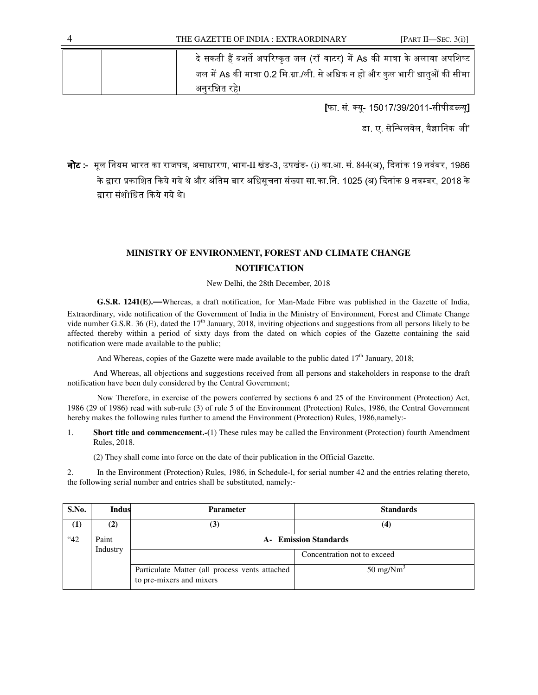| दे सकती हैं बशर्ते अपरिष्कृत जल (रॉ वाटर) में As की मात्रा के अलावा अपशिष्ट  |
|------------------------------------------------------------------------------|
| जल में As की मात्रा 0.2 मि.ग्रा./ली. से अधिक न हो और कुल भारी धातुओं की सीमा |
| अनुरक्षित रहे।                                                               |

[फा. सं. क्यू- 15017/39/2011-सीपीडब्ल्यू]

डा. ए. सेन्थिलवेल. वैज्ञानिक 'जी'

**नोट :-** मूल नियम भारत का राजपत्र, असाधारण, भाग-II खंड-3, उपखंड- (i) का.आ. सं. 844(अ), दिनांक 19 नवंबर, 1986 के द्वारा प्रकाशित किये गये थे और अंतिम बार अधिसचना संख्या सा.का.नि. 1025 (अ) दिनांक 9 नवम्बर. 2018 के द्वारा संशोधित किये गये थे।

## **MINISTRY OF ENVIRONMENT, FOREST AND CLIMATE CHANGE NOTIFICATION**

New Delhi, the 28th December, 2018

**G.S.R. 1241(E).**—Whereas, a draft notification, for Man-Made Fibre was published in the Gazette of India, Extraordinary, vide notification of the Government of India in the Ministry of Environment, Forest and Climate Change vide number G.S.R. 36 (E), dated the 17<sup>th</sup> January, 2018, inviting objections and suggestions from all persons likely to be affected thereby within a period of sixty days from the dated on which copies of the Gazette containing the said notification were made available to the public;

And Whereas, copies of the Gazette were made available to the public dated  $17<sup>th</sup>$  January, 2018;

And Whereas, all objections and suggestions received from all persons and stakeholders in response to the draft notification have been duly considered by the Central Government;

 Now Therefore, in exercise of the powers conferred by sections 6 and 25 of the Environment (Protection) Act, 1986 (29 of 1986) read with sub-rule (3) of rule 5 of the Environment (Protection) Rules, 1986, the Central Government hereby makes the following rules further to amend the Environment (Protection) Rules, 1986,namely:-

1. **Short title and commencement.-(**1) These rules may be called the Environment (Protection) fourth Amendment Rules, 2018.

(2) They shall come into force on the date of their publication in the Official Gazette.

2. In the Environment (Protection) Rules, 1986, in Schedule-l, for serial number 42 and the entries relating thereto, the following serial number and entries shall be substituted, namely:-

| S.No. | <b>Indus</b>      | <b>Parameter</b>                                                           | <b>Standards</b>            |
|-------|-------------------|----------------------------------------------------------------------------|-----------------------------|
| (1)   | (2)               | (3)                                                                        | (4)                         |
| "42   | Paint<br>Industry | <b>A</b> - Emission Standards                                              |                             |
|       |                   |                                                                            | Concentration not to exceed |
|       |                   | Particulate Matter (all process vents attached<br>to pre-mixers and mixers | $50 \text{ mg}/\text{Nm}^3$ |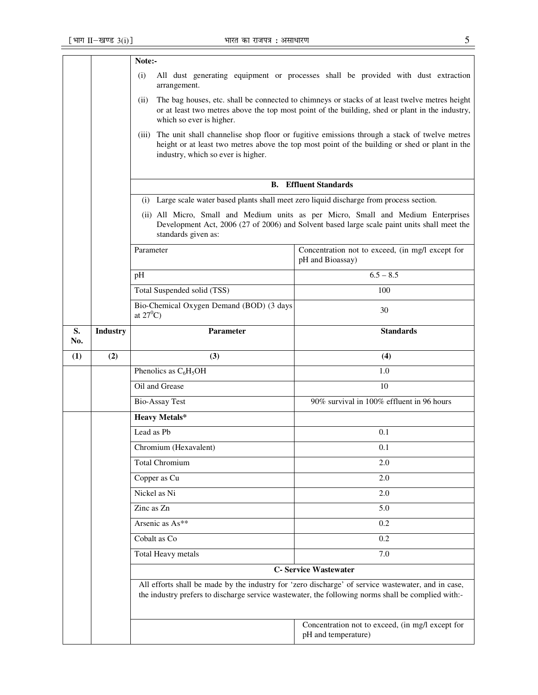|           |                                                                                                                                                                                                                                                                                                                                                   | Note:-                                                                                                                                                                                                                                       |                                                                                                                                                                                                          |  |
|-----------|---------------------------------------------------------------------------------------------------------------------------------------------------------------------------------------------------------------------------------------------------------------------------------------------------------------------------------------------------|----------------------------------------------------------------------------------------------------------------------------------------------------------------------------------------------------------------------------------------------|----------------------------------------------------------------------------------------------------------------------------------------------------------------------------------------------------------|--|
|           | (i)<br>All dust generating equipment or processes shall be provided with dust extraction<br>arrangement.<br>The bag houses, etc. shall be connected to chimneys or stacks of at least twelve metres height<br>(ii)<br>or at least two metres above the top most point of the building, shed or plant in the industry,<br>which so ever is higher. |                                                                                                                                                                                                                                              |                                                                                                                                                                                                          |  |
|           |                                                                                                                                                                                                                                                                                                                                                   |                                                                                                                                                                                                                                              |                                                                                                                                                                                                          |  |
|           |                                                                                                                                                                                                                                                                                                                                                   | The unit shall channelise shop floor or fugitive emissions through a stack of twelve metres<br>(iii)<br>height or at least two metres above the top most point of the building or shed or plant in the<br>industry, which so ever is higher. |                                                                                                                                                                                                          |  |
|           |                                                                                                                                                                                                                                                                                                                                                   | <b>B.</b> Effluent Standards                                                                                                                                                                                                                 |                                                                                                                                                                                                          |  |
|           |                                                                                                                                                                                                                                                                                                                                                   | (i) Large scale water based plants shall meet zero liquid discharge from process section.                                                                                                                                                    |                                                                                                                                                                                                          |  |
|           |                                                                                                                                                                                                                                                                                                                                                   | (ii) All Micro, Small and Medium units as per Micro, Small and Medium Enterprises<br>Development Act, 2006 (27 of 2006) and Solvent based large scale paint units shall meet the<br>standards given as:                                      |                                                                                                                                                                                                          |  |
|           |                                                                                                                                                                                                                                                                                                                                                   | Parameter                                                                                                                                                                                                                                    | Concentration not to exceed, (in mg/l except for<br>pH and Bioassay)                                                                                                                                     |  |
|           |                                                                                                                                                                                                                                                                                                                                                   | pH                                                                                                                                                                                                                                           | $6.5 - 8.5$                                                                                                                                                                                              |  |
|           |                                                                                                                                                                                                                                                                                                                                                   | Total Suspended solid (TSS)                                                                                                                                                                                                                  | 100                                                                                                                                                                                                      |  |
|           |                                                                                                                                                                                                                                                                                                                                                   | Bio-Chemical Oxygen Demand (BOD) (3 days<br>at $27^0C$ )                                                                                                                                                                                     | 30                                                                                                                                                                                                       |  |
| S.<br>No. | <b>Industry</b>                                                                                                                                                                                                                                                                                                                                   | Parameter                                                                                                                                                                                                                                    | <b>Standards</b>                                                                                                                                                                                         |  |
| (1)       | (2)                                                                                                                                                                                                                                                                                                                                               | (3)                                                                                                                                                                                                                                          | (4)                                                                                                                                                                                                      |  |
|           |                                                                                                                                                                                                                                                                                                                                                   |                                                                                                                                                                                                                                              |                                                                                                                                                                                                          |  |
|           |                                                                                                                                                                                                                                                                                                                                                   | Phenolics as $C_6H_5OH$                                                                                                                                                                                                                      | 1.0                                                                                                                                                                                                      |  |
|           |                                                                                                                                                                                                                                                                                                                                                   | Oil and Grease                                                                                                                                                                                                                               | 10                                                                                                                                                                                                       |  |
|           |                                                                                                                                                                                                                                                                                                                                                   | <b>Bio-Assay Test</b>                                                                                                                                                                                                                        | 90% survival in 100% effluent in 96 hours                                                                                                                                                                |  |
|           |                                                                                                                                                                                                                                                                                                                                                   | <b>Heavy Metals*</b>                                                                                                                                                                                                                         |                                                                                                                                                                                                          |  |
|           |                                                                                                                                                                                                                                                                                                                                                   | Lead as Pb                                                                                                                                                                                                                                   | 0.1                                                                                                                                                                                                      |  |
|           |                                                                                                                                                                                                                                                                                                                                                   | Chromium (Hexavalent)                                                                                                                                                                                                                        | 0.1                                                                                                                                                                                                      |  |
|           |                                                                                                                                                                                                                                                                                                                                                   | <b>Total Chromium</b>                                                                                                                                                                                                                        | 2.0                                                                                                                                                                                                      |  |
|           |                                                                                                                                                                                                                                                                                                                                                   | Copper as Cu                                                                                                                                                                                                                                 | 2.0                                                                                                                                                                                                      |  |
|           |                                                                                                                                                                                                                                                                                                                                                   | Nickel as Ni                                                                                                                                                                                                                                 | 2.0                                                                                                                                                                                                      |  |
|           |                                                                                                                                                                                                                                                                                                                                                   | Zinc as Zn                                                                                                                                                                                                                                   | 5.0                                                                                                                                                                                                      |  |
|           |                                                                                                                                                                                                                                                                                                                                                   | Arsenic as As**                                                                                                                                                                                                                              | 0.2                                                                                                                                                                                                      |  |
|           |                                                                                                                                                                                                                                                                                                                                                   | Cobalt as Co                                                                                                                                                                                                                                 | 0.2                                                                                                                                                                                                      |  |
|           |                                                                                                                                                                                                                                                                                                                                                   | Total Heavy metals                                                                                                                                                                                                                           | 7.0                                                                                                                                                                                                      |  |
|           |                                                                                                                                                                                                                                                                                                                                                   |                                                                                                                                                                                                                                              | <b>C- Service Wastewater</b>                                                                                                                                                                             |  |
|           |                                                                                                                                                                                                                                                                                                                                                   |                                                                                                                                                                                                                                              | All efforts shall be made by the industry for 'zero discharge' of service wastewater, and in case,<br>the industry prefers to discharge service wastewater, the following norms shall be complied with:- |  |